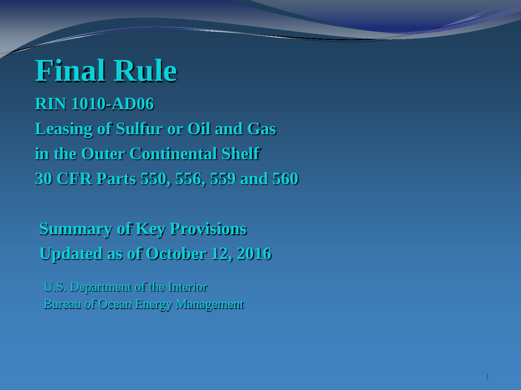### **Final Rule RIN 1010-AD06 Leasing of Sulfur or Oil and Gas in the Outer Continental Shelf 30 CFR Parts 550, 556, 559 and 560**

**Summary of Key Provisions Updated as of October 12, 2016**

U.S. Department of the Interior Bureau of Ocean Energy Management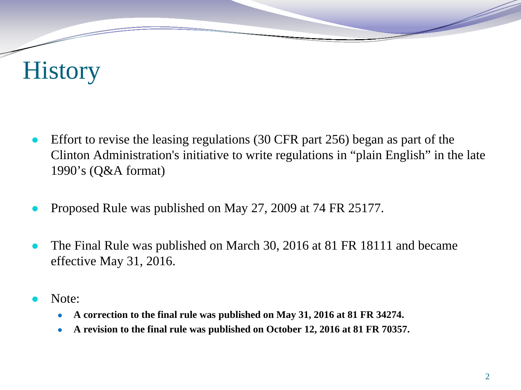## **History**

- Effort to revise the leasing regulations (30 CFR part 256) began as part of the Clinton Administration's initiative to write regulations in "plain English" in the late 1990's (Q&A format)
- Proposed Rule was published on May 27, 2009 at 74 FR 25177.
- The Final Rule was published on March 30, 2016 at 81 FR 18111 and became effective May 31, 2016.
- Note:
	- **A correction to the final rule was published on May 31, 2016 at 81 FR 34274.**
	- **A revision to the final rule was published on October 12, 2016 at 81 FR 70357.**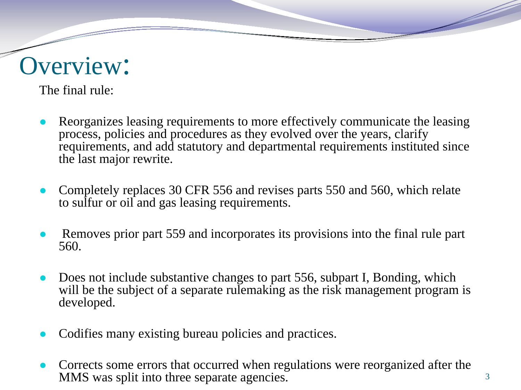#### Overview:

The final rule:

- Reorganizes leasing requirements to more effectively communicate the leasing process, policies and procedures as they evolved over the years, clarify requirements, and add statutory and departmental requirements instituted since the last major rewrite.
- Completely replaces 30 CFR 556 and revises parts 550 and 560, which relate to sulfur or oil and gas leasing requirements.
- Removes prior part 559 and incorporates its provisions into the final rule part 560.
- Does not include substantive changes to part 556, subpart I, Bonding, which will be the subject of a separate rulemaking as the risk management program is developed.
- Codifies many existing bureau policies and practices.
- Corrects some errors that occurred when regulations were reorganized after the MMS was split into three separate agencies.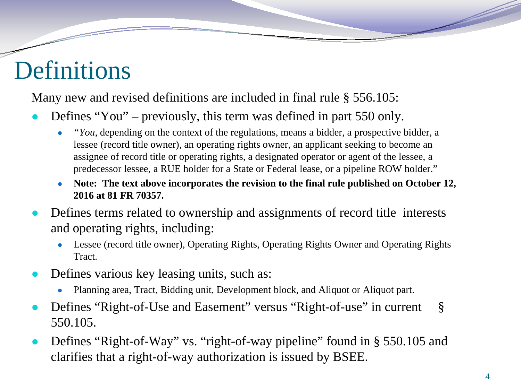## Definitions

Many new and revised definitions are included in final rule § 556.105:

- Defines "You" previously, this term was defined in part  $550$  only.
	- *"You*, depending on the context of the regulations, means a bidder, a prospective bidder, a lessee (record title owner), an operating rights owner, an applicant seeking to become an assignee of record title or operating rights, a designated operator or agent of the lessee, a predecessor lessee, a RUE holder for a State or Federal lease, or a pipeline ROW holder."
	- Note: The text above incorporates the revision to the final rule published on October 12, **2016 at 81 FR 70357.**
- Defines terms related to ownership and assignments of record title interests and operating rights, including:
	- Lessee (record title owner), Operating Rights, Operating Rights Owner and Operating Rights Tract.
- Defines various key leasing units, such as:
	- Planning area, Tract, Bidding unit, Development block, and Aliquot or Aliquot part.
- Defines "Right-of-Use and Easement" versus "Right-of-use" in current § 550.105.
- Defines "Right-of-Way" vs. "right-of-way pipeline" found in § 550.105 and clarifies that a right-of-way authorization is issued by BSEE.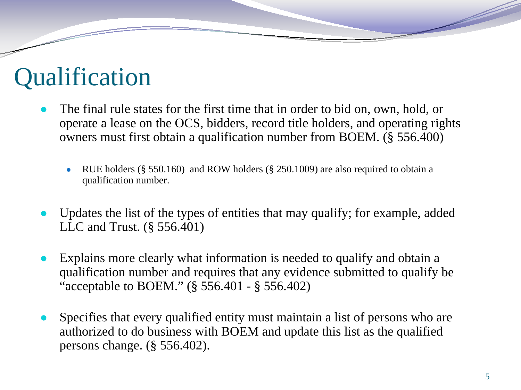#### **Qualification**

- The final rule states for the first time that in order to bid on, own, hold, or operate a lease on the OCS, bidders, record title holders, and operating rights owners must first obtain a qualification number from BOEM. (§ 556.400)
	- RUE holders ( $\S 550.160$ ) and ROW holders ( $\S 250.1009$ ) are also required to obtain a qualification number.
- Updates the list of the types of entities that may qualify; for example, added LLC and Trust. (§ 556.401)
- Explains more clearly what information is needed to qualify and obtain a qualification number and requires that any evidence submitted to qualify be "acceptable to BOEM." (§ 556.401 - § 556.402)
- Specifies that every qualified entity must maintain a list of persons who are authorized to do business with BOEM and update this list as the qualified persons change. (§ 556.402).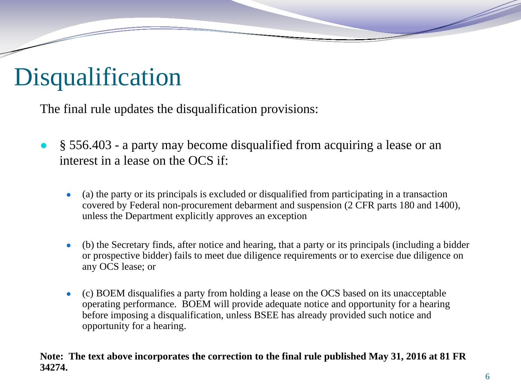# Disqualification

The final rule updates the disqualification provisions:

- § 556.403 a party may become disqualified from acquiring a lease or an interest in a lease on the OCS if:
	- (a) the party or its principals is excluded or disqualified from participating in a transaction covered by Federal non-procurement debarment and suspension (2 CFR parts 180 and 1400), unless the Department explicitly approves an exception
	- (b) the Secretary finds, after notice and hearing, that a party or its principals (including a bidder or prospective bidder) fails to meet due diligence requirements or to exercise due diligence on any OCS lease; or
	- (c) BOEM disqualifies a party from holding a lease on the OCS based on its unacceptable operating performance. BOEM will provide adequate notice and opportunity for a hearing before imposing a disqualification, unless BSEE has already provided such notice and opportunity for a hearing.

#### **Note: The text above incorporates the correction to the final rule published May 31, 2016 at 81 FR 34274.**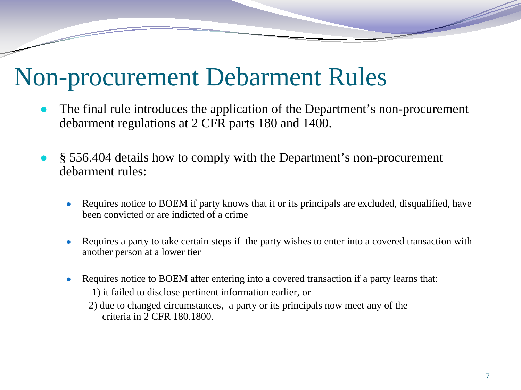#### Non-procurement Debarment Rules

- The final rule introduces the application of the Department's non-procurement debarment regulations at 2 CFR parts 180 and 1400.
- § 556.404 details how to comply with the Department's non-procurement debarment rules:
	- Requires notice to BOEM if party knows that it or its principals are excluded, disqualified, have been convicted or are indicted of a crime
	- Requires a party to take certain steps if the party wishes to enter into a covered transaction with another person at a lower tier
	- Requires notice to BOEM after entering into a covered transaction if a party learns that: 1) it failed to disclose pertinent information earlier, or
		- 2) due to changed circumstances, a party or its principals now meet any of the criteria in 2 CFR 180.1800.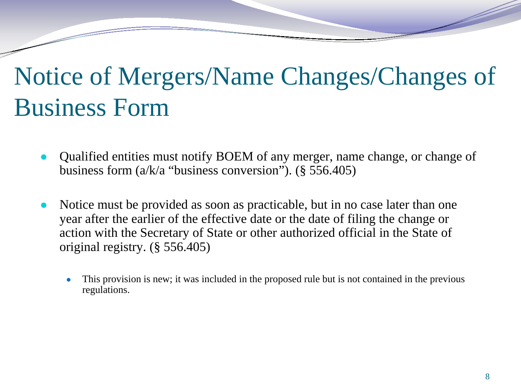## Notice of Mergers/Name Changes/Changes of Business Form

- Qualified entities must notify BOEM of any merger, name change, or change of business form (a/k/a "business conversion"). (§ 556.405)
- Notice must be provided as soon as practicable, but in no case later than one year after the earlier of the effective date or the date of filing the change or action with the Secretary of State or other authorized official in the State of original registry. (§ 556.405)
	- This provision is new; it was included in the proposed rule but is not contained in the previous regulations.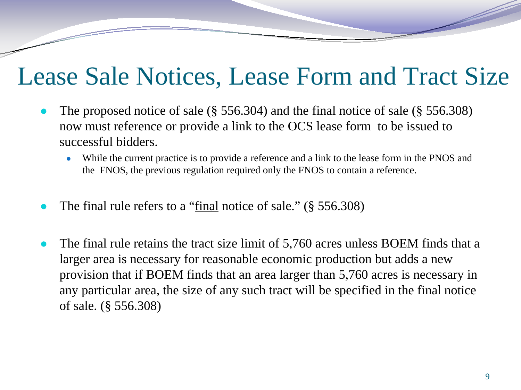#### Lease Sale Notices, Lease Form and Tract Size

- The proposed notice of sale ( $\S$  556.304) and the final notice of sale ( $\S$  556.308) now must reference or provide a link to the OCS lease form to be issued to successful bidders.
	- While the current practice is to provide a reference and a link to the lease form in the PNOS and the FNOS, the previous regulation required only the FNOS to contain a reference.
- The final rule refers to a "final notice of sale."  $(\S 556.308)$
- The final rule retains the tract size limit of 5,760 acres unless BOEM finds that a larger area is necessary for reasonable economic production but adds a new provision that if BOEM finds that an area larger than 5,760 acres is necessary in any particular area, the size of any such tract will be specified in the final notice of sale. (§ 556.308)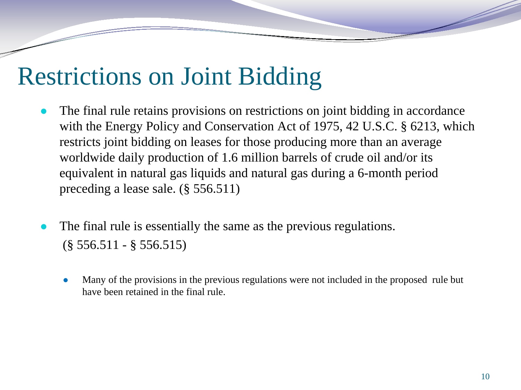## Restrictions on Joint Bidding

- The final rule retains provisions on restrictions on joint bidding in accordance with the Energy Policy and Conservation Act of 1975, 42 U.S.C. § 6213, which restricts joint bidding on leases for those producing more than an average worldwide daily production of 1.6 million barrels of crude oil and/or its equivalent in natural gas liquids and natural gas during a 6-month period preceding a lease sale. (§ 556.511)
- The final rule is essentially the same as the previous regulations.  $(\S 556.511 - \S 556.515)$ 
	- Many of the provisions in the previous regulations were not included in the proposed rule but have been retained in the final rule.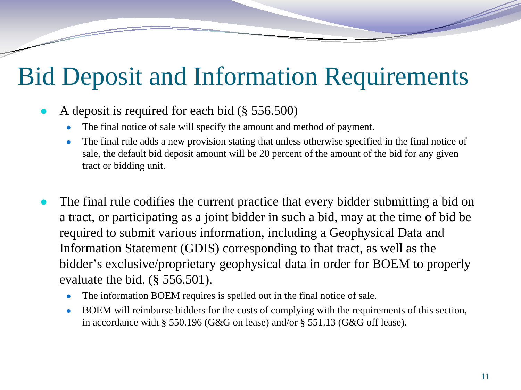## Bid Deposit and Information Requirements

- A deposit is required for each bid  $(\S 556.500)$ 
	- The final notice of sale will specify the amount and method of payment.
	- The final rule adds a new provision stating that unless otherwise specified in the final notice of sale, the default bid deposit amount will be 20 percent of the amount of the bid for any given tract or bidding unit.
- The final rule codifies the current practice that every bidder submitting a bid on a tract, or participating as a joint bidder in such a bid, may at the time of bid be required to submit various information, including a Geophysical Data and Information Statement (GDIS) corresponding to that tract, as well as the bidder's exclusive/proprietary geophysical data in order for BOEM to properly evaluate the bid. (§ 556.501).
	- The information BOEM requires is spelled out in the final notice of sale.
	- BOEM will reimburse bidders for the costs of complying with the requirements of this section, in accordance with § 550.196 (G&G on lease) and/or § 551.13 (G&G off lease).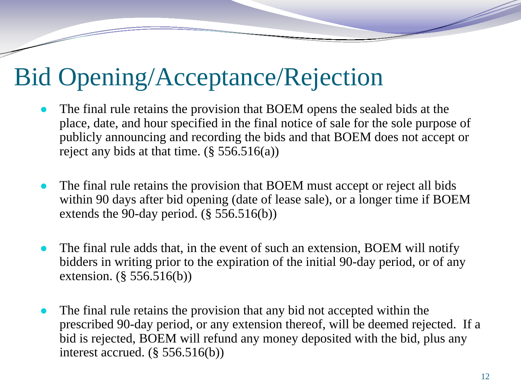### Bid Opening/Acceptance/Rejection

- The final rule retains the provision that BOEM opens the sealed bids at the place, date, and hour specified in the final notice of sale for the sole purpose of publicly announcing and recording the bids and that BOEM does not accept or reject any bids at that time.  $(\S 556.516(a))$
- The final rule retains the provision that BOEM must accept or reject all bids within 90 days after bid opening (date of lease sale), or a longer time if BOEM extends the 90-day period. (§ 556.516(b))
- The final rule adds that, in the event of such an extension, BOEM will notify bidders in writing prior to the expiration of the initial 90-day period, or of any extension. (§ 556.516(b))
- The final rule retains the provision that any bid not accepted within the prescribed 90-day period, or any extension thereof, will be deemed rejected. If a bid is rejected, BOEM will refund any money deposited with the bid, plus any interest accrued. (§ 556.516(b))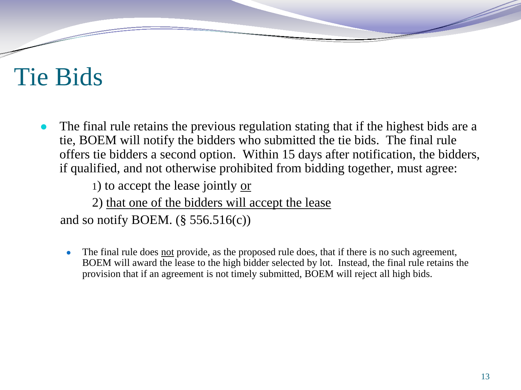## Tie Bids

The final rule retains the previous regulation stating that if the highest bids are a tie, BOEM will notify the bidders who submitted the tie bids. The final rule offers tie bidders a second option. Within 15 days after notification, the bidders, if qualified, and not otherwise prohibited from bidding together, must agree:

1) to accept the lease jointly or

2) that one of the bidders will accept the lease

and so notify BOEM.  $(\S 556.516(c))$ 

• The final rule does not provide, as the proposed rule does, that if there is no such agreement, BOEM will award the lease to the high bidder selected by lot. Instead, the final rule retains the provision that if an agreement is not timely submitted, BOEM will reject all high bids.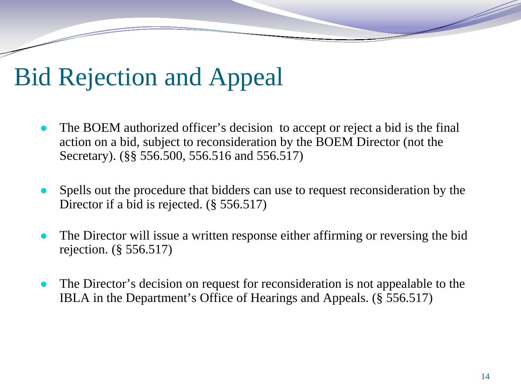## Bid Rejection and Appeal

- The BOEM authorized officer's decision to accept or reject a bid is the final action on a bid, subject to reconsideration by the BOEM Director (not the Secretary). (§§ 556.500, 556.516 and 556.517)
- Spells out the procedure that bidders can use to request reconsideration by the Director if a bid is rejected. (§ 556.517)
- The Director will issue a written response either affirming or reversing the bid rejection. (§ 556.517)
- The Director's decision on request for reconsideration is not appealable to the IBLA in the Department's Office of Hearings and Appeals. (§ 556.517)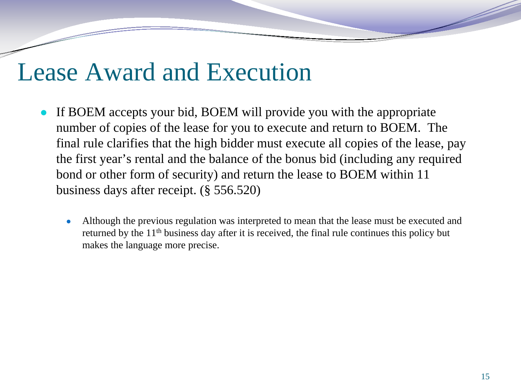#### Lease Award and Execution

- If BOEM accepts your bid, BOEM will provide you with the appropriate number of copies of the lease for you to execute and return to BOEM. The final rule clarifies that the high bidder must execute all copies of the lease, pay the first year's rental and the balance of the bonus bid (including any required bond or other form of security) and return the lease to BOEM within 11 business days after receipt. (§ 556.520)
	- Although the previous regulation was interpreted to mean that the lease must be executed and returned by the 11<sup>th</sup> business day after it is received, the final rule continues this policy but makes the language more precise.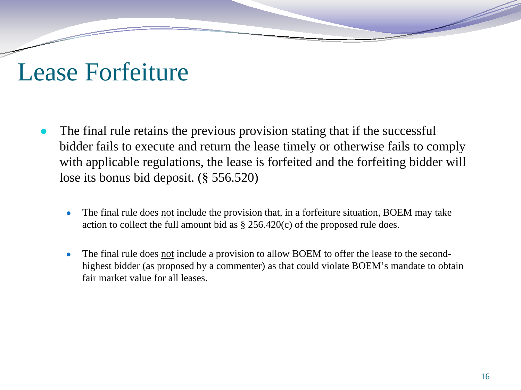#### Lease Forfeiture

- The final rule retains the previous provision stating that if the successful bidder fails to execute and return the lease timely or otherwise fails to comply with applicable regulations, the lease is forfeited and the forfeiting bidder will lose its bonus bid deposit. (§ 556.520)
	- The final rule does not include the provision that, in a forfeiture situation, BOEM may take action to collect the full amount bid as  $\S 256.420(c)$  of the proposed rule does.
	- The final rule does not include a provision to allow BOEM to offer the lease to the secondhighest bidder (as proposed by a commenter) as that could violate BOEM's mandate to obtain fair market value for all leases.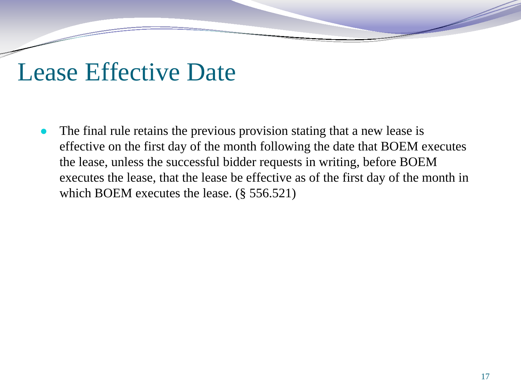#### Lease Effective Date

The final rule retains the previous provision stating that a new lease is effective on the first day of the month following the date that BOEM executes the lease, unless the successful bidder requests in writing, before BOEM executes the lease, that the lease be effective as of the first day of the month in which BOEM executes the lease. (§ 556.521)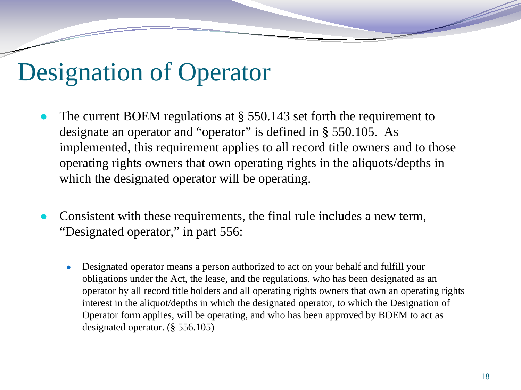### Designation of Operator

- The current BOEM regulations at  $\S$  550.143 set forth the requirement to designate an operator and "operator" is defined in § 550.105. As implemented, this requirement applies to all record title owners and to those operating rights owners that own operating rights in the aliquots/depths in which the designated operator will be operating.
- Consistent with these requirements, the final rule includes a new term, "Designated operator," in part 556:
	- Designated operator means a person authorized to act on your behalf and fulfill your obligations under the Act, the lease, and the regulations, who has been designated as an operator by all record title holders and all operating rights owners that own an operating rights interest in the aliquot/depths in which the designated operator, to which the Designation of Operator form applies, will be operating, and who has been approved by BOEM to act as designated operator. (§ 556.105)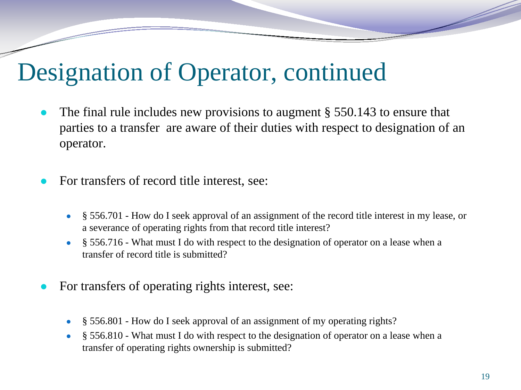### Designation of Operator, continued

- The final rule includes new provisions to augment  $\S 550.143$  to ensure that parties to a transfer are aware of their duties with respect to designation of an operator.
- For transfers of record title interest, see:
	- § 556.701 How do I seek approval of an assignment of the record title interest in my lease, or a severance of operating rights from that record title interest?
	- § 556.716 What must I do with respect to the designation of operator on a lease when a transfer of record title is submitted?
- For transfers of operating rights interest, see:
	- § 556.801 How do I seek approval of an assignment of my operating rights?
	- § 556.810 What must I do with respect to the designation of operator on a lease when a transfer of operating rights ownership is submitted?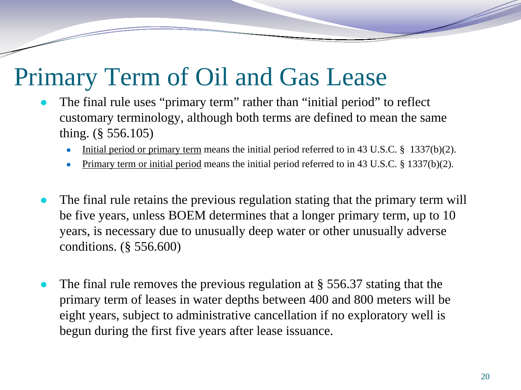## Primary Term of Oil and Gas Lease

- The final rule uses "primary term" rather than "initial period" to reflect customary terminology, although both terms are defined to mean the same thing. (§ 556.105)
	- Initial period or primary term means the initial period referred to in 43 U.S.C.  $\S$  1337(b)(2).
	- Primary term or initial period means the initial period referred to in 43 U.S.C. § 1337(b)(2).
- The final rule retains the previous regulation stating that the primary term will be five years, unless BOEM determines that a longer primary term, up to 10 years, is necessary due to unusually deep water or other unusually adverse conditions. (§ 556.600)
- The final rule removes the previous regulation at  $\S 556.37$  stating that the primary term of leases in water depths between 400 and 800 meters will be eight years, subject to administrative cancellation if no exploratory well is begun during the first five years after lease issuance.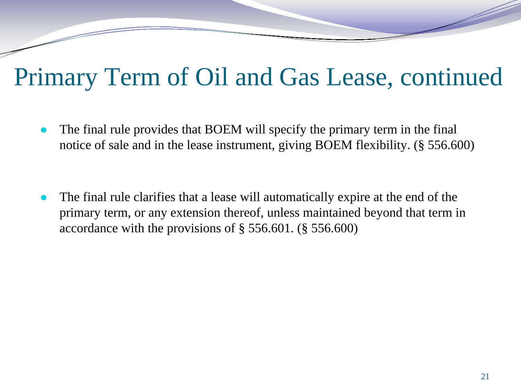## Primary Term of Oil and Gas Lease, continued

- The final rule provides that BOEM will specify the primary term in the final notice of sale and in the lease instrument, giving BOEM flexibility. (§ 556.600)
- The final rule clarifies that a lease will automatically expire at the end of the primary term, or any extension thereof, unless maintained beyond that term in accordance with the provisions of § 556.601. (§ 556.600)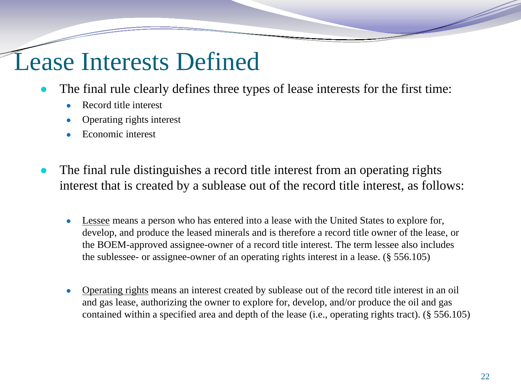#### Lease Interests Defined

- The final rule clearly defines three types of lease interests for the first time:
	- Record title interest
	- Operating rights interest
	- Economic interest
- The final rule distinguishes a record title interest from an operating rights interest that is created by a sublease out of the record title interest, as follows:
	- Lessee means a person who has entered into a lease with the United States to explore for, develop, and produce the leased minerals and is therefore a record title owner of the lease, or the BOEM-approved assignee-owner of a record title interest. The term lessee also includes the sublessee- or assignee-owner of an operating rights interest in a lease. (§ 556.105)
	- Operating rights means an interest created by sublease out of the record title interest in an oil and gas lease, authorizing the owner to explore for, develop, and/or produce the oil and gas contained within a specified area and depth of the lease (i.e., operating rights tract). (§ 556.105)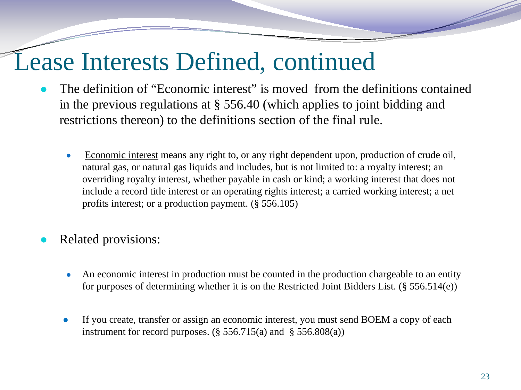### Lease Interests Defined, continued

- The definition of "Economic interest" is moved from the definitions contained in the previous regulations at § 556.40 (which applies to joint bidding and restrictions thereon) to the definitions section of the final rule.
	- Economic interest means any right to, or any right dependent upon, production of crude oil, natural gas, or natural gas liquids and includes, but is not limited to: a royalty interest; an overriding royalty interest, whether payable in cash or kind; a working interest that does not include a record title interest or an operating rights interest; a carried working interest; a net profits interest; or a production payment. (§ 556.105)
- Related provisions:
	- An economic interest in production must be counted in the production chargeable to an entity for purposes of determining whether it is on the Restricted Joint Bidders List. (§ 556.514(e))
	- If you create, transfer or assign an economic interest, you must send BOEM a copy of each instrument for record purposes.  $(\S 556.715(a)$  and  $\S 556.808(a))$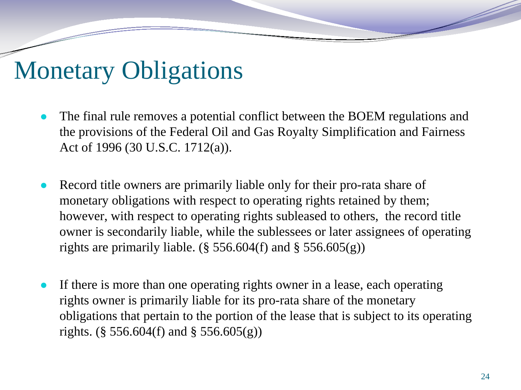## Monetary Obligations

- The final rule removes a potential conflict between the BOEM regulations and the provisions of the Federal Oil and Gas Royalty Simplification and Fairness Act of 1996 (30 U.S.C. 1712(a)).
- Record title owners are primarily liable only for their pro-rata share of monetary obligations with respect to operating rights retained by them; however, with respect to operating rights subleased to others, the record title owner is secondarily liable, while the sublessees or later assignees of operating rights are primarily liable. ( $\S$  556.604(f) and  $\S$  556.605(g))
- If there is more than one operating rights owner in a lease, each operating rights owner is primarily liable for its pro-rata share of the monetary obligations that pertain to the portion of the lease that is subject to its operating rights. (§ 556.604(f) and § 556.605(g))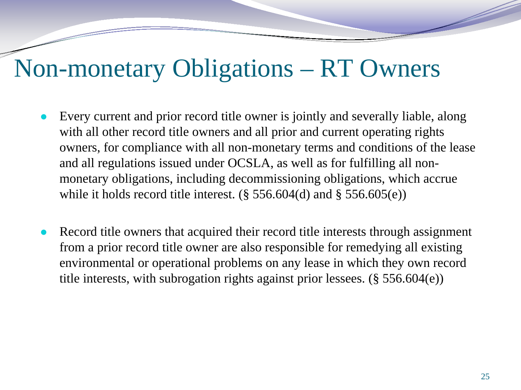#### Non-monetary Obligations – RT Owners

- Every current and prior record title owner is jointly and severally liable, along with all other record title owners and all prior and current operating rights owners, for compliance with all non-monetary terms and conditions of the lease and all regulations issued under OCSLA, as well as for fulfilling all nonmonetary obligations, including decommissioning obligations, which accrue while it holds record title interest.  $(\S 556.604(d)$  and  $\S 556.605(e))$
- Record title owners that acquired their record title interests through assignment from a prior record title owner are also responsible for remedying all existing environmental or operational problems on any lease in which they own record title interests, with subrogation rights against prior lessees. (§ 556.604(e))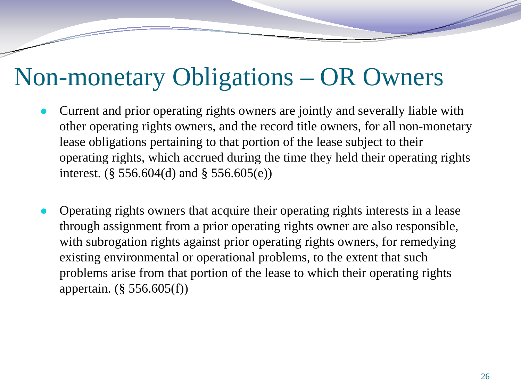### Non-monetary Obligations – OR Owners

- Current and prior operating rights owners are jointly and severally liable with other operating rights owners, and the record title owners, for all non-monetary lease obligations pertaining to that portion of the lease subject to their operating rights, which accrued during the time they held their operating rights interest. (§ 556.604(d) and § 556.605(e))
- Operating rights owners that acquire their operating rights interests in a lease through assignment from a prior operating rights owner are also responsible, with subrogation rights against prior operating rights owners, for remedying existing environmental or operational problems, to the extent that such problems arise from that portion of the lease to which their operating rights appertain. (§ 556.605(f))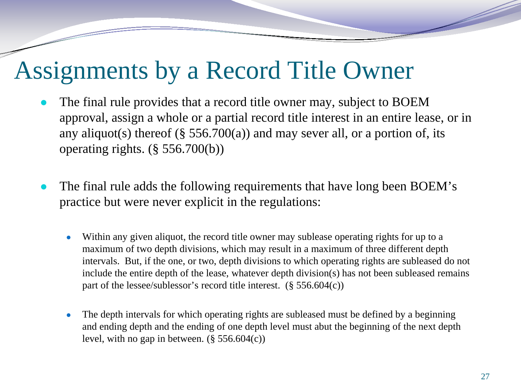#### Assignments by a Record Title Owner

- The final rule provides that a record title owner may, subject to BOEM approval, assign a whole or a partial record title interest in an entire lease, or in any aliquot(s) thereof (§  $556.700(a)$ ) and may sever all, or a portion of, its operating rights. (§ 556.700(b))
- The final rule adds the following requirements that have long been BOEM's practice but were never explicit in the regulations:
	- Within any given aliquot, the record title owner may sublease operating rights for up to a maximum of two depth divisions, which may result in a maximum of three different depth intervals. But, if the one, or two, depth divisions to which operating rights are subleased do not include the entire depth of the lease, whatever depth division(s) has not been subleased remains part of the lessee/sublessor's record title interest.  $(\S 556.604(c))$
	- The depth intervals for which operating rights are subleased must be defined by a beginning and ending depth and the ending of one depth level must abut the beginning of the next depth level, with no gap in between.  $(\S 556.604(c))$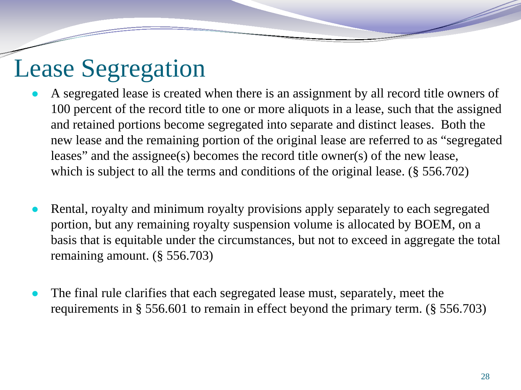### Lease Segregation

- A segregated lease is created when there is an assignment by all record title owners of 100 percent of the record title to one or more aliquots in a lease, such that the assigned and retained portions become segregated into separate and distinct leases. Both the new lease and the remaining portion of the original lease are referred to as "segregated leases" and the assignee(s) becomes the record title owner(s) of the new lease, which is subject to all the terms and conditions of the original lease. (§ 556.702)
- Rental, royalty and minimum royalty provisions apply separately to each segregated portion, but any remaining royalty suspension volume is allocated by BOEM, on a basis that is equitable under the circumstances, but not to exceed in aggregate the total remaining amount. (§ 556.703)
- The final rule clarifies that each segregated lease must, separately, meet the requirements in § 556.601 to remain in effect beyond the primary term. (§ 556.703)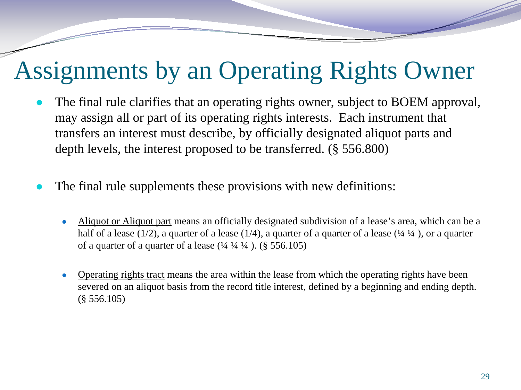## Assignments by an Operating Rights Owner

- The final rule clarifies that an operating rights owner, subject to BOEM approval, may assign all or part of its operating rights interests. Each instrument that transfers an interest must describe, by officially designated aliquot parts and depth levels, the interest proposed to be transferred. (§ 556.800)
- The final rule supplements these provisions with new definitions:
	- Aliquot or Aliquot part means an officially designated subdivision of a lease's area, which can be a half of a lease (1/2), a quarter of a lease (1/4), a quarter of a quarter of a lease ( $\frac{1}{4}$   $\frac{1}{4}$ ), or a quarter of a quarter of a quarter of a lease  $(1/4, 1/4, 1/4)$ . (§ 556.105)
	- Operating rights tract means the area within the lease from which the operating rights have been severed on an aliquot basis from the record title interest, defined by a beginning and ending depth. (§ 556.105)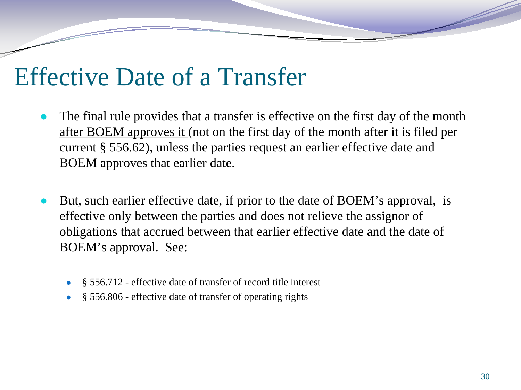#### Effective Date of a Transfer

- The final rule provides that a transfer is effective on the first day of the month after BOEM approves it (not on the first day of the month after it is filed per current § 556.62), unless the parties request an earlier effective date and BOEM approves that earlier date.
- But, such earlier effective date, if prior to the date of BOEM's approval, is effective only between the parties and does not relieve the assignor of obligations that accrued between that earlier effective date and the date of BOEM's approval. See:
	- § 556.712 effective date of transfer of record title interest
	- § 556.806 effective date of transfer of operating rights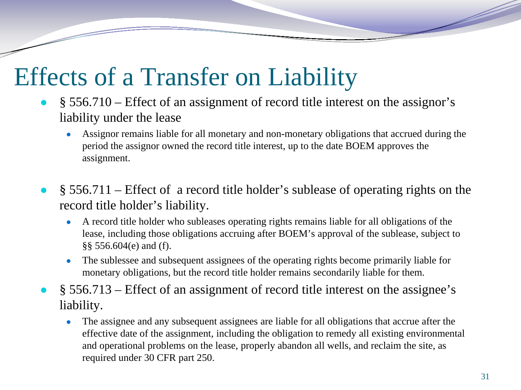## Effects of a Transfer on Liability

- $\S$  556.710 Effect of an assignment of record title interest on the assignor's liability under the lease
	- Assignor remains liable for all monetary and non-monetary obligations that accrued during the period the assignor owned the record title interest, up to the date BOEM approves the assignment.
- $\S$  556.711 Effect of a record title holder's sublease of operating rights on the record title holder's liability.
	- A record title holder who subleases operating rights remains liable for all obligations of the lease, including those obligations accruing after BOEM's approval of the sublease, subject to §§ 556.604(e) and (f).
	- The sublessee and subsequent assignees of the operating rights become primarily liable for monetary obligations, but the record title holder remains secondarily liable for them.
- $\S$  556.713 Effect of an assignment of record title interest on the assignee's liability.
	- The assignee and any subsequent assignees are liable for all obligations that accrue after the effective date of the assignment, including the obligation to remedy all existing environmental and operational problems on the lease, properly abandon all wells, and reclaim the site, as required under 30 CFR part 250.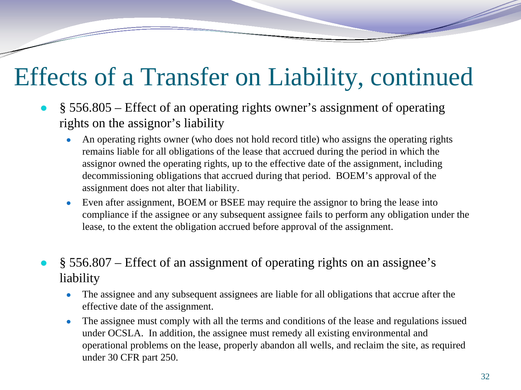## Effects of a Transfer on Liability, continued

- § 556.805 Effect of an operating rights owner's assignment of operating rights on the assignor's liability
	- An operating rights owner (who does not hold record title) who assigns the operating rights remains liable for all obligations of the lease that accrued during the period in which the assignor owned the operating rights, up to the effective date of the assignment, including decommissioning obligations that accrued during that period. BOEM's approval of the assignment does not alter that liability.
	- Even after assignment, BOEM or BSEE may require the assignor to bring the lease into compliance if the assignee or any subsequent assignee fails to perform any obligation under the lease, to the extent the obligation accrued before approval of the assignment.
- $\S$  556.807 Effect of an assignment of operating rights on an assignee's liability
	- The assignee and any subsequent assignees are liable for all obligations that accrue after the effective date of the assignment.
	- The assignee must comply with all the terms and conditions of the lease and regulations issued under OCSLA. In addition, the assignee must remedy all existing environmental and operational problems on the lease, properly abandon all wells, and reclaim the site, as required under 30 CFR part 250.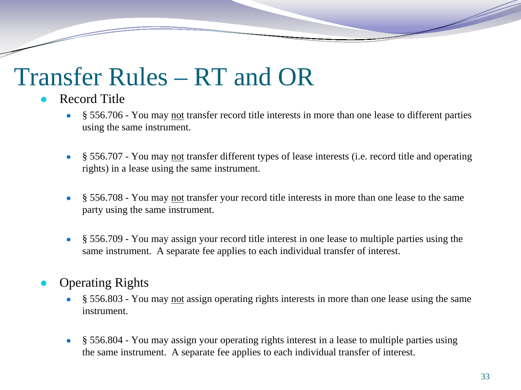## Transfer Rules – RT and OR

#### **Record Title**

- § 556.706 You may not transfer record title interests in more than one lease to different parties using the same instrument.
- § 556.707 You may not transfer different types of lease interests (i.e. record title and operating rights) in a lease using the same instrument.
- § 556.708 You may not transfer your record title interests in more than one lease to the same party using the same instrument.
- § 556.709 You may assign your record title interest in one lease to multiple parties using the same instrument. A separate fee applies to each individual transfer of interest.
- **Operating Rights** 
	- § 556.803 You may not assign operating rights interests in more than one lease using the same instrument.
	- § 556.804 You may assign your operating rights interest in a lease to multiple parties using the same instrument. A separate fee applies to each individual transfer of interest.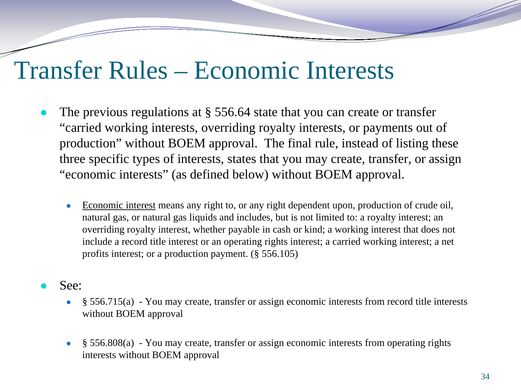#### Transfer Rules – Economic Interests

- The previous regulations at  $\S 556.64$  state that you can create or transfer "carried working interests, overriding royalty interests, or payments out of production" without BOEM approval. The final rule, instead of listing these three specific types of interests, states that you may create, transfer, or assign "economic interests" (as defined below) without BOEM approval.
	- Economic interest means any right to, or any right dependent upon, production of crude oil, natural gas, or natural gas liquids and includes, but is not limited to: a royalty interest; an overriding royalty interest, whether payable in cash or kind; a working interest that does not include a record title interest or an operating rights interest; a carried working interest; a net profits interest; or a production payment. (§ 556.105)
- See:
	- $\S$  556.715(a) You may create, transfer or assign economic interests from record title interests without BOEM approval
	- § 556.808(a) You may create, transfer or assign economic interests from operating rights interests without BOEM approval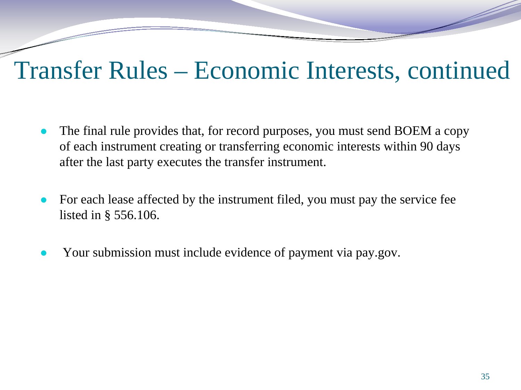#### Transfer Rules – Economic Interests, continued

- The final rule provides that, for record purposes, you must send BOEM a copy of each instrument creating or transferring economic interests within 90 days after the last party executes the transfer instrument.
- For each lease affected by the instrument filed, you must pay the service fee listed in § 556.106.
- Your submission must include evidence of payment via pay.gov.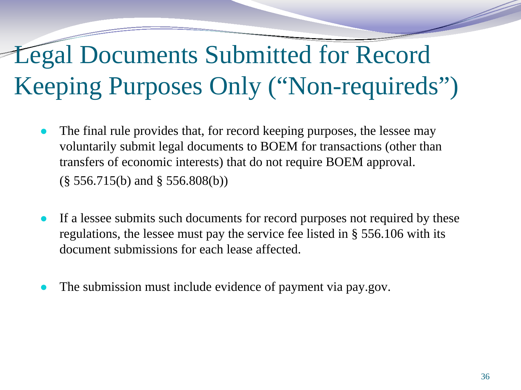# Legal Documents Submitted for Record Keeping Purposes Only ("Non-requireds")

- The final rule provides that, for record keeping purposes, the lessee may voluntarily submit legal documents to BOEM for transactions (other than transfers of economic interests) that do not require BOEM approval. (§ 556.715(b) and § 556.808(b))
- If a lessee submits such documents for record purposes not required by these regulations, the lessee must pay the service fee listed in § 556.106 with its document submissions for each lease affected.
- The submission must include evidence of payment via pay.gov.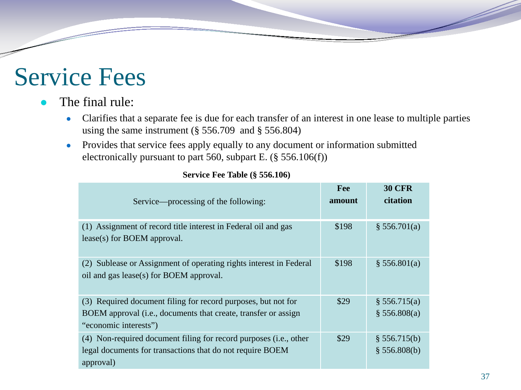### Service Fees

#### The final rule:

- Clarifies that a separate fee is due for each transfer of an interest in one lease to multiple parties using the same instrument (§ 556.709 and § 556.804)
- Provides that service fees apply equally to any document or information submitted electronically pursuant to part 560, subpart E. (§ 556.106(f))

| Service—processing of the following:                                                                                                                     | <b>Fee</b><br>amount | <b>30 CFR</b><br>citation    |
|----------------------------------------------------------------------------------------------------------------------------------------------------------|----------------------|------------------------------|
| (1) Assignment of record title interest in Federal oil and gas<br>$lease(s)$ for BOEM approval.                                                          | \$198                | \$ 556.701(a)                |
| (2) Sublease or Assignment of operating rights interest in Federal<br>oil and gas lease(s) for BOEM approval.                                            | \$198                | \$556.801(a)                 |
| (3) Required document filing for record purposes, but not for<br>BOEM approval (i.e., documents that create, transfer or assign<br>"economic interests") | \$29                 | \$556.715(a)<br>\$556.808(a) |
| (4) Non-required document filing for record purposes (i.e., other<br>legal documents for transactions that do not require BOEM<br>approval)              | \$29                 | \$556.715(b)<br>\$556.808(b) |

#### **Service Fee Table (§ 556.106)**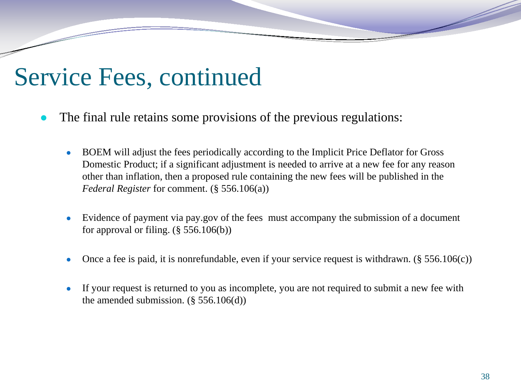#### Service Fees, continued

- The final rule retains some provisions of the previous regulations:
	- BOEM will adjust the fees periodically according to the Implicit Price Deflator for Gross Domestic Product; if a significant adjustment is needed to arrive at a new fee for any reason other than inflation, then a proposed rule containing the new fees will be published in the *Federal Register* for comment. (§ 556.106(a))
	- Evidence of payment via pay.gov of the fees must accompany the submission of a document for approval or filing.  $(\S 556.106(b))$
	- Once a fee is paid, it is nonrefundable, even if your service request is withdrawn. ( $\S 556.106(c)$ )
	- If your request is returned to you as incomplete, you are not required to submit a new fee with the amended submission.  $(\S 556.106(d))$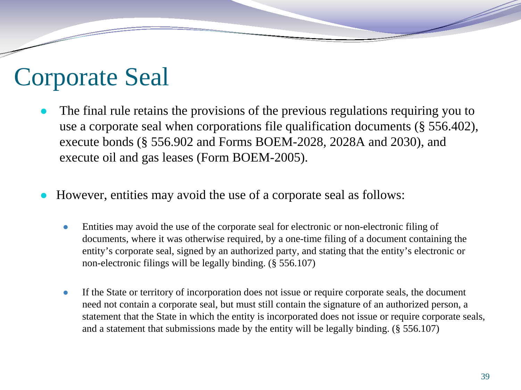### Corporate Seal

- The final rule retains the provisions of the previous regulations requiring you to use a corporate seal when corporations file qualification documents (§ 556.402), execute bonds (§ 556.902 and Forms BOEM-2028, 2028A and 2030), and execute oil and gas leases (Form BOEM-2005).
- However, entities may avoid the use of a corporate seal as follows:
	- Entities may avoid the use of the corporate seal for electronic or non-electronic filing of documents, where it was otherwise required, by a one-time filing of a document containing the entity's corporate seal, signed by an authorized party, and stating that the entity's electronic or non-electronic filings will be legally binding. (§ 556.107)
	- If the State or territory of incorporation does not issue or require corporate seals, the document need not contain a corporate seal, but must still contain the signature of an authorized person, a statement that the State in which the entity is incorporated does not issue or require corporate seals, and a statement that submissions made by the entity will be legally binding. (§ 556.107)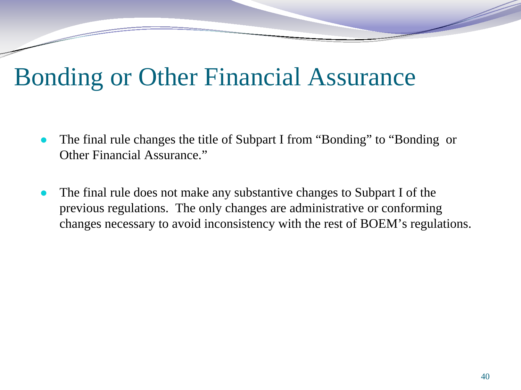### Bonding or Other Financial Assurance

- The final rule changes the title of Subpart I from "Bonding" to "Bonding or Other Financial Assurance."
- The final rule does not make any substantive changes to Subpart I of the previous regulations. The only changes are administrative or conforming changes necessary to avoid inconsistency with the rest of BOEM's regulations.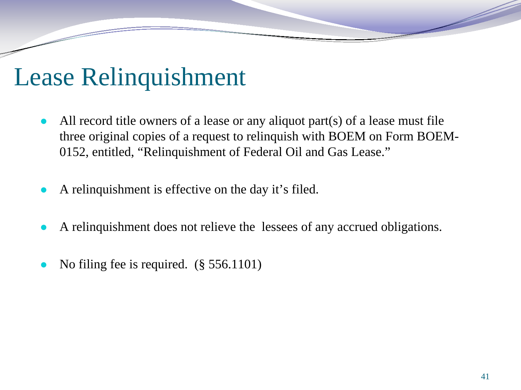### Lease Relinquishment

- All record title owners of a lease or any aliquot part(s) of a lease must file three original copies of a request to relinquish with BOEM on Form BOEM-0152, entitled, "Relinquishment of Federal Oil and Gas Lease."
- A relinquishment is effective on the day it's filed.
- A relinquishment does not relieve the lessees of any accrued obligations.
- No filing fee is required. (§ 556.1101)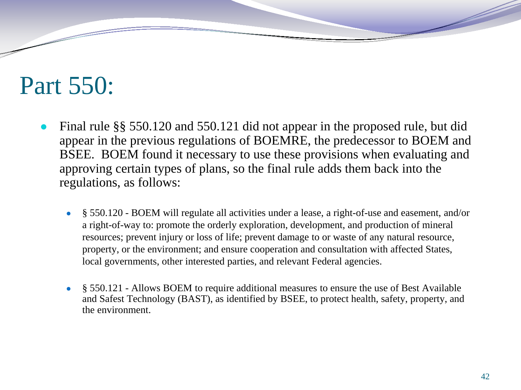## Part 550:

- Final rule  $\S$ § 550.120 and 550.121 did not appear in the proposed rule, but did appear in the previous regulations of BOEMRE, the predecessor to BOEM and BSEE. BOEM found it necessary to use these provisions when evaluating and approving certain types of plans, so the final rule adds them back into the regulations, as follows:
	- § 550.120 BOEM will regulate all activities under a lease, a right-of-use and easement, and/or a right-of-way to: promote the orderly exploration, development, and production of mineral resources; prevent injury or loss of life; prevent damage to or waste of any natural resource, property, or the environment; and ensure cooperation and consultation with affected States, local governments, other interested parties, and relevant Federal agencies.
	- § 550.121 Allows BOEM to require additional measures to ensure the use of Best Available and Safest Technology (BAST), as identified by BSEE, to protect health, safety, property, and the environment.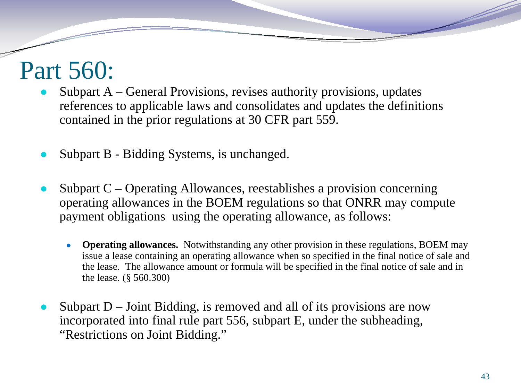## Part 560:

- Subpart  $A -$  General Provisions, revises authority provisions, updates references to applicable laws and consolidates and updates the definitions contained in the prior regulations at 30 CFR part 559.
- Subpart B Bidding Systems, is unchanged.
- Subpart  $C$  Operating Allowances, reestablishes a provision concerning operating allowances in the BOEM regulations so that ONRR may compute payment obligations using the operating allowance, as follows:
	- **Operating allowances.** Notwithstanding any other provision in these regulations, BOEM may issue a lease containing an operating allowance when so specified in the final notice of sale and the lease. The allowance amount or formula will be specified in the final notice of sale and in the lease. (§ 560.300)
- Subpart  $D -$  Joint Bidding, is removed and all of its provisions are now incorporated into final rule part 556, subpart E, under the subheading, "Restrictions on Joint Bidding."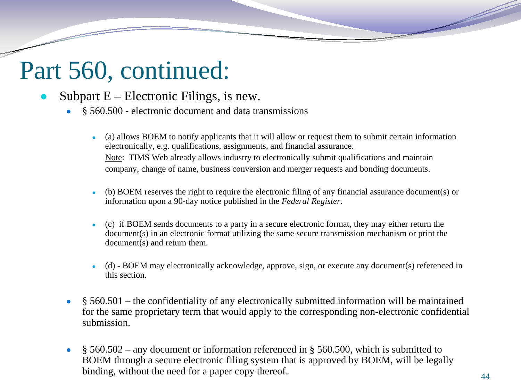### Part 560, continued:

- Subpart  $E$  Electronic Filings, is new.
	- § 560.500 electronic document and data transmissions
		- (a) allows BOEM to notify applicants that it will allow or request them to submit certain information electronically, e.g. qualifications, assignments, and financial assurance. Note: TIMS Web already allows industry to electronically submit qualifications and maintain company, change of name, business conversion and merger requests and bonding documents.
		- $(b)$  BOEM reserves the right to require the electronic filing of any financial assurance document(s) or information upon a 90-day notice published in the *Federal Register.*
		- (c) if BOEM sends documents to a party in a secure electronic format, they may either return the document(s) in an electronic format utilizing the same secure transmission mechanism or print the document(s) and return them.
		- $(d)$  BOEM may electronically acknowledge, approve, sign, or execute any document(s) referenced in this section.
	- $\bullet$  § 560.501 the confidentiality of any electronically submitted information will be maintained for the same proprietary term that would apply to the corresponding non-electronic confidential submission.
	- § 560.502 any document or information referenced in § 560.500, which is submitted to BOEM through a secure electronic filing system that is approved by BOEM, will be legally binding, without the need for a paper copy thereof.